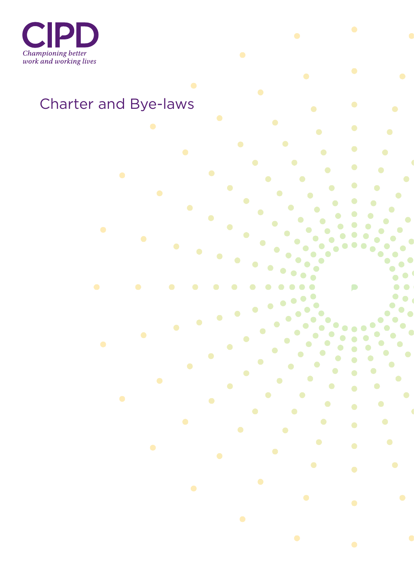

# Charter and Bye-laws

 $\bullet$ 

 $\bullet$ 

 $\bullet$ 

 $\bullet$ 

 $\bullet$ 

 $\bullet$ 

 $\bullet$ 

 $\bullet$ 

 $\bullet$ 

 $\begin{array}{c} \bullet \\ \bullet \end{array}$ 

 $\bullet$ 

 $\bullet$ 

 $\bullet$ 

 $\bullet$ 

 $\bullet$ 

 $\bullet$ 

 $\bullet$ 

 $\bullet$ 

 $\bullet$ 

 $\bullet$ 

 $\bullet$ 

 $\bullet$ 

 $\bullet$ 

 $\bullet$ 

 $\bullet$ 

 $\bullet$ 

 $\bullet$ 

 $\bullet$ 

 $\bullet$ 

 $\bullet$ 

 $\bullet$ 

 $\bullet$ 

 $\bullet$ 

 $\bullet$ 

 $\bullet$ 

 $\bullet$ 

 $\bullet$ 

 $\bullet$ 

 $\bullet$ 

 $\bullet$ 

 $\bullet$ 

 $\bullet$ 

 $\bullet$  $\bullet$  $\bullet$ 

 $\bullet$ 

 $\bullet$ 

 $\bullet$ 

 $\bullet$ 

 $\bullet$ 

 $\bullet$ 

 $\bullet$ 

 $\bullet$ 

 $\bullet$ 

 $\bullet$ 

 $\bullet$ 

 $\bullet$ 

 $\bullet$ 

 $\bullet$ 

 $\bullet$ 

 $\bullet$ 

 $\bullet$ 

 $\bullet$ 

 $\bullet$ 

 $\bullet$ 

 $\bullet$ 

 $\bullet$  $\bullet$ 

 $\bullet$ 

 $\bullet$ 

 $\bullet$ 

 $\bullet$ 

 $\bullet$ 

 $\bullet$ 

 $\bullet$ 

 $\bullet$ 

 $\bullet$ 

 $\bullet$ 

 $\bullet$  $\bullet$ 

 $\bullet$  $\bullet$ 

> $\bullet$  $\bullet$

> > P

 $\bullet$ 

 $\bullet$ 

 $\bullet$ 

 $\bullet$ 

 $\bullet$ 

 $\bullet$ 

 $\bullet$ 

 $\bullet$ 

 $\bullet$ 

 $\bullet$ 

 $\bullet$ 

 $\bullet$ 

 $\bullet$ 

 $\bullet$ 

 $\bullet$ 

 $\bullet$ 

 $\bullet$ 

 $\bullet$ 

 $\bullet$ 

 $\bullet$ 

 $\bullet$ 

 $\bullet$  $\bullet$ 

 $\bullet$ 

 $\bullet$ 

 $\bullet$ 

 $\bullet$ 

 $\bullet$ 

 $\bullet$ 

 $\bullet$ 

 $\bullet$ 

 $\bullet$ 

 $\bullet$ 

 $\bullet$ 

 $\bullet$ 

 $\bullet$ 

 $\bullet$ 

 $\bullet$ 

 $\bullet$ 

 $\bullet$ 

 $\bullet$ 

 $\bullet$ 

 $\bullet$ 

 $\bullet$ 

 $\bullet$ 

 $\bullet$ 

 $\bullet$ 

 $\bullet$ 

 $\bullet$ 

 $\bullet$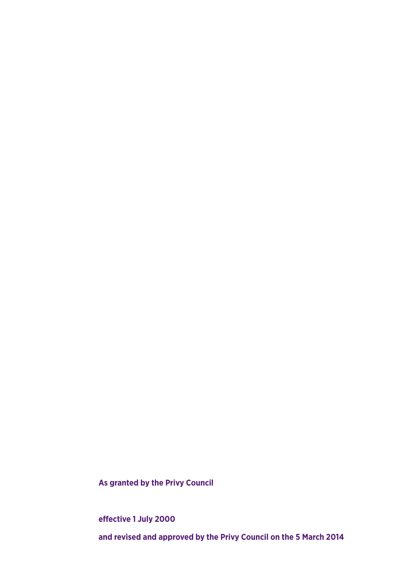**As granted by the Privy Council**

**effective 1 July 2000 and revised and approved by the Privy Council on the 5 March 2014**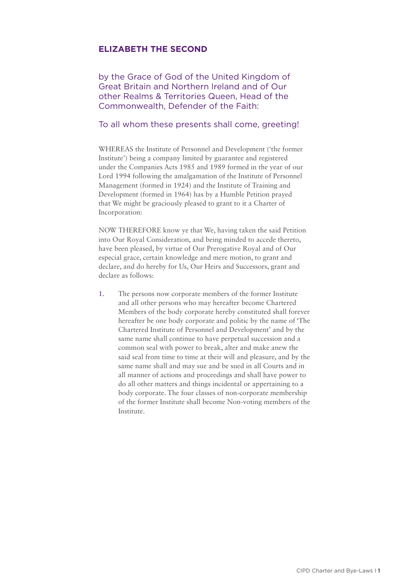# **ELIZABETH THE SECOND**

by the Grace of God of the United Kingdom of Great Britain and Northern Ireland and of Our other Realms & Territories Queen, Head of the Commonwealth, Defender of the Faith:

#### To all whom these presents shall come, greeting!

WHEREAS the Institute of Personnel and Development ('the former Institute') being a company limited by guarantee and registered under the Companies Acts 1985 and 1989 formed in the year of our Lord 1994 following the amalgamation of the Institute of Personnel Management (formed in 1924) and the Institute of Training and Development (formed in 1964) has by a Humble Petition prayed that We might be graciously pleased to grant to it a Charter of Incorporation:

NOW THEREFORE know ye that We, having taken the said Petition into Our Royal Consideration, and being minded to accede thereto, have been pleased, by virtue of Our Prerogative Royal and of Our especial grace, certain knowledge and mere motion, to grant and declare, and do hereby for Us, Our Heirs and Successors, grant and declare as follows:

1. The persons now corporate members of the former Institute and all other persons who may hereafter become Chartered Members of the body corporate hereby constituted shall forever hereafter be one body corporate and politic by the name of 'The Chartered Institute of Personnel and Development' and by the same name shall continue to have perpetual succession and a common seal with power to break, alter and make anew the said seal from time to time at their will and pleasure, and by the same name shall and may sue and be sued in all Courts and in all manner of actions and proceedings and shall have power to do all other matters and things incidental or appertaining to a body corporate. The four classes of non-corporate membership of the former Institute shall become Non-voting members of the Institute.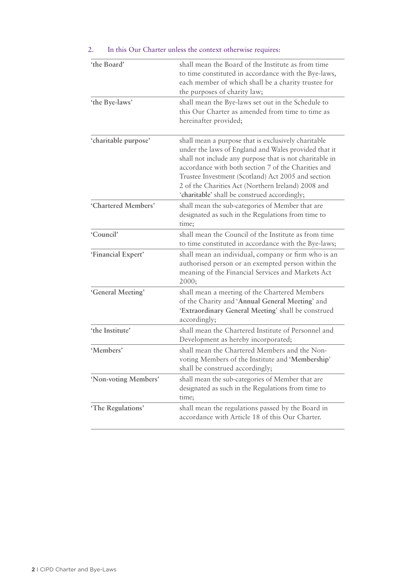| 'the Board'          | shall mean the Board of the Institute as from time<br>to time constituted in accordance with the Bye-laws,<br>each member of which shall be a charity trustee for<br>the purposes of charity law;                                                                                                                                                                                         |
|----------------------|-------------------------------------------------------------------------------------------------------------------------------------------------------------------------------------------------------------------------------------------------------------------------------------------------------------------------------------------------------------------------------------------|
| 'the Bye-laws'       | shall mean the Bye-laws set out in the Schedule to<br>this Our Charter as amended from time to time as<br>hereinafter provided;                                                                                                                                                                                                                                                           |
| 'charitable purpose' | shall mean a purpose that is exclusively charitable<br>under the laws of England and Wales provided that it<br>shall not include any purpose that is not charitable in<br>accordance with both section 7 of the Charities and<br>Trustee Investment (Scotland) Act 2005 and section<br>2 of the Charities Act (Northern Ireland) 2008 and<br>'charitable' shall be construed accordingly; |
| 'Chartered Members'  | shall mean the sub-categories of Member that are<br>designated as such in the Regulations from time to<br>time;                                                                                                                                                                                                                                                                           |
| 'Council'            | shall mean the Council of the Institute as from time<br>to time constituted in accordance with the Bye-laws;                                                                                                                                                                                                                                                                              |
| 'Financial Expert'   | shall mean an individual, company or firm who is an<br>authorised person or an exempted person within the<br>meaning of the Financial Services and Markets Act<br>2000;                                                                                                                                                                                                                   |
| 'General Meeting'    | shall mean a meeting of the Chartered Members<br>of the Charity and 'Annual General Meeting' and<br>'Extraordinary General Meeting' shall be construed<br>accordingly;                                                                                                                                                                                                                    |
| 'the Institute'      | shall mean the Chartered Institute of Personnel and<br>Development as hereby incorporated;                                                                                                                                                                                                                                                                                                |
| 'Members'            | shall mean the Chartered Members and the Non-<br>voting Members of the Institute and 'Membership'<br>shall be construed accordingly;                                                                                                                                                                                                                                                      |
| 'Non-voting Members' | shall mean the sub-categories of Member that are<br>designated as such in the Regulations from time to<br>time;                                                                                                                                                                                                                                                                           |
| 'The Regulations'    | shall mean the regulations passed by the Board in<br>accordance with Article 18 of this Our Charter.                                                                                                                                                                                                                                                                                      |

# 2. In this Our Charter unless the context otherwise requires: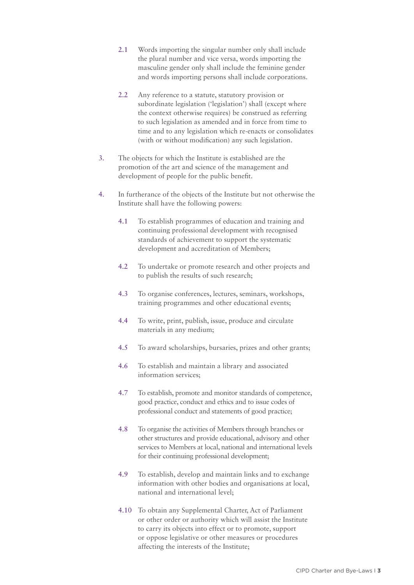- 2.1 Words importing the singular number only shall include the plural number and vice versa, words importing the masculine gender only shall include the feminine gender and words importing persons shall include corporations.
- 2.2 Any reference to a statute, statutory provision or subordinate legislation ('legislation') shall (except where the context otherwise requires) be construed as referring to such legislation as amended and in force from time to time and to any legislation which re-enacts or consolidates (with or without modification) any such legislation.
- 3. The objects for which the Institute is established are the promotion of the art and science of the management and development of people for the public benefit.
- 4. In furtherance of the objects of the Institute but not otherwise the Institute shall have the following powers:
	- 4.1 To establish programmes of education and training and continuing professional development with recognised standards of achievement to support the systematic development and accreditation of Members;
	- 4.2 To undertake or promote research and other projects and to publish the results of such research;
	- 4.3 To organise conferences, lectures, seminars, workshops, training programmes and other educational events;
	- 4.4 To write, print, publish, issue, produce and circulate materials in any medium;
	- 4.5 To award scholarships, bursaries, prizes and other grants;
	- 4.6 To establish and maintain a library and associated information services;
	- 4.7 To establish, promote and monitor standards of competence, good practice, conduct and ethics and to issue codes of professional conduct and statements of good practice;
	- 4.8 To organise the activities of Members through branches or other structures and provide educational, advisory and other services to Members at local, national and international levels for their continuing professional development;
	- 4.9 To establish, develop and maintain links and to exchange information with other bodies and organisations at local, national and international level;
	- 4.10 To obtain any Supplemental Charter, Act of Parliament or other order or authority which will assist the Institute to carry its objects into effect or to promote, support or oppose legislative or other measures or procedures affecting the interests of the Institute;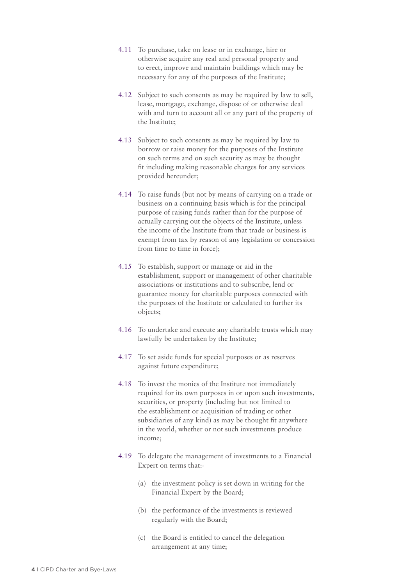- 4.11 To purchase, take on lease or in exchange, hire or otherwise acquire any real and personal property and to erect, improve and maintain buildings which may be necessary for any of the purposes of the Institute;
- 4.12 Subject to such consents as may be required by law to sell, lease, mortgage, exchange, dispose of or otherwise deal with and turn to account all or any part of the property of the Institute;
- 4.13 Subject to such consents as may be required by law to borrow or raise money for the purposes of the Institute on such terms and on such security as may be thought fit including making reasonable charges for any services provided hereunder;
- 4.14 To raise funds (but not by means of carrying on a trade or business on a continuing basis which is for the principal purpose of raising funds rather than for the purpose of actually carrying out the objects of the Institute, unless the income of the Institute from that trade or business is exempt from tax by reason of any legislation or concession from time to time in force);
- 4.15 To establish, support or manage or aid in the establishment, support or management of other charitable associations or institutions and to subscribe, lend or guarantee money for charitable purposes connected with the purposes of the Institute or calculated to further its objects;
- 4.16 To undertake and execute any charitable trusts which may lawfully be undertaken by the Institute;
- 4.17 To set aside funds for special purposes or as reserves against future expenditure;
- 4.18 To invest the monies of the Institute not immediately required for its own purposes in or upon such investments, securities, or property (including but not limited to the establishment or acquisition of trading or other subsidiaries of any kind) as may be thought fit anywhere in the world, whether or not such investments produce income;
- 4.19 To delegate the management of investments to a Financial Expert on terms that:-
	- (a) the investment policy is set down in writing for the Financial Expert by the Board;
	- (b) the performance of the investments is reviewed regularly with the Board;
	- (c) the Board is entitled to cancel the delegation arrangement at any time;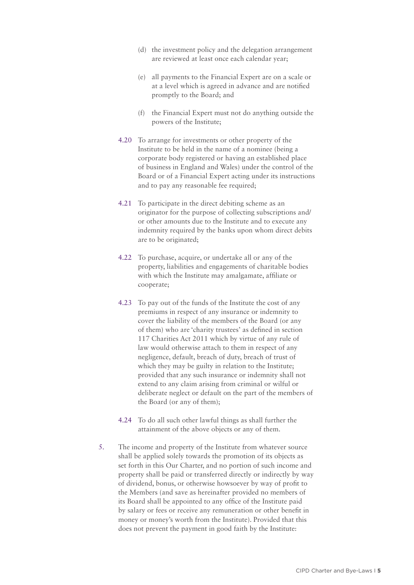- (d) the investment policy and the delegation arrangement are reviewed at least once each calendar year;
- (e) all payments to the Financial Expert are on a scale or at a level which is agreed in advance and are notified promptly to the Board; and
- (f) the Financial Expert must not do anything outside the powers of the Institute;
- 4.20 To arrange for investments or other property of the Institute to be held in the name of a nominee (being a corporate body registered or having an established place of business in England and Wales) under the control of the Board or of a Financial Expert acting under its instructions and to pay any reasonable fee required;
- 4.21 To participate in the direct debiting scheme as an originator for the purpose of collecting subscriptions and/ or other amounts due to the Institute and to execute any indemnity required by the banks upon whom direct debits are to be originated;
- 4.22 To purchase, acquire, or undertake all or any of the property, liabilities and engagements of charitable bodies with which the Institute may amalgamate, affiliate or cooperate;
- 4.23 To pay out of the funds of the Institute the cost of any premiums in respect of any insurance or indemnity to cover the liability of the members of the Board (or any of them) who are 'charity trustees' as defined in section 117 Charities Act 2011 which by virtue of any rule of law would otherwise attach to them in respect of any negligence, default, breach of duty, breach of trust of which they may be guilty in relation to the Institute; provided that any such insurance or indemnity shall not extend to any claim arising from criminal or wilful or deliberate neglect or default on the part of the members of the Board (or any of them);
- 4.24 To do all such other lawful things as shall further the attainment of the above objects or any of them.
- 5. The income and property of the Institute from whatever source shall be applied solely towards the promotion of its objects as set forth in this Our Charter, and no portion of such income and property shall be paid or transferred directly or indirectly by way of dividend, bonus, or otherwise howsoever by way of profit to the Members (and save as hereinafter provided no members of its Board shall be appointed to any office of the Institute paid by salary or fees or receive any remuneration or other benefit in money or money's worth from the Institute). Provided that this does not prevent the payment in good faith by the Institute: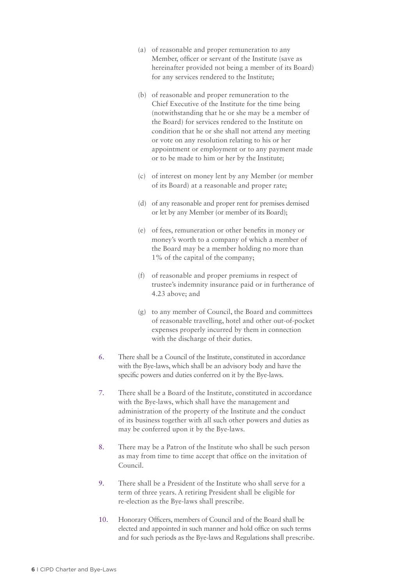- (a) of reasonable and proper remuneration to any Member, officer or servant of the Institute (save as hereinafter provided not being a member of its Board) for any services rendered to the Institute;
- (b) of reasonable and proper remuneration to the Chief Executive of the Institute for the time being (notwithstanding that he or she may be a member of the Board) for services rendered to the Institute on condition that he or she shall not attend any meeting or vote on any resolution relating to his or her appointment or employment or to any payment made or to be made to him or her by the Institute;
- (c) of interest on money lent by any Member (or member of its Board) at a reasonable and proper rate;
- (d) of any reasonable and proper rent for premises demised or let by any Member (or member of its Board);
- (e) of fees, remuneration or other benefits in money or money's worth to a company of which a member of the Board may be a member holding no more than 1% of the capital of the company;
- (f) of reasonable and proper premiums in respect of trustee's indemnity insurance paid or in furtherance of 4.23 above; and
- (g) to any member of Council, the Board and committees of reasonable travelling, hotel and other out-of-pocket expenses properly incurred by them in connection with the discharge of their duties.
- 6. There shall be a Council of the Institute, constituted in accordance with the Bye-laws, which shall be an advisory body and have the specific powers and duties conferred on it by the Bye-laws.
- 7. There shall be a Board of the Institute, constituted in accordance with the Bye-laws, which shall have the management and administration of the property of the Institute and the conduct of its business together with all such other powers and duties as may be conferred upon it by the Bye-laws.
- 8. There may be a Patron of the Institute who shall be such person as may from time to time accept that office on the invitation of Council.
- 9. There shall be a President of the Institute who shall serve for a term of three years. A retiring President shall be eligible for re-election as the Bye-laws shall prescribe.
- 10. Honorary Officers, members of Council and of the Board shall be elected and appointed in such manner and hold office on such terms and for such periods as the Bye-laws and Regulations shall prescribe.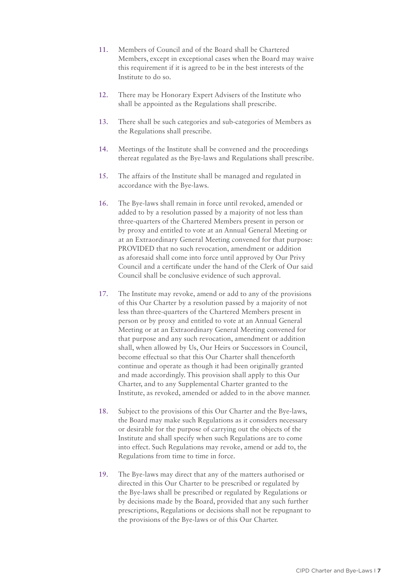- 11. Members of Council and of the Board shall be Chartered Members, except in exceptional cases when the Board may waive this requirement if it is agreed to be in the best interests of the Institute to do so.
- 12. There may be Honorary Expert Advisers of the Institute who shall be appointed as the Regulations shall prescribe.
- 13. There shall be such categories and sub-categories of Members as the Regulations shall prescribe.
- 14. Meetings of the Institute shall be convened and the proceedings thereat regulated as the Bye-laws and Regulations shall prescribe.
- 15. The affairs of the Institute shall be managed and regulated in accordance with the Bye-laws.
- 16. The Bye-laws shall remain in force until revoked, amended or added to by a resolution passed by a majority of not less than three-quarters of the Chartered Members present in person or by proxy and entitled to vote at an Annual General Meeting or at an Extraordinary General Meeting convened for that purpose: PROVIDED that no such revocation, amendment or addition as aforesaid shall come into force until approved by Our Privy Council and a certificate under the hand of the Clerk of Our said Council shall be conclusive evidence of such approval.
- 17. The Institute may revoke, amend or add to any of the provisions of this Our Charter by a resolution passed by a majority of not less than three-quarters of the Chartered Members present in person or by proxy and entitled to vote at an Annual General Meeting or at an Extraordinary General Meeting convened for that purpose and any such revocation, amendment or addition shall, when allowed by Us, Our Heirs or Successors in Council, become effectual so that this Our Charter shall thenceforth continue and operate as though it had been originally granted and made accordingly. This provision shall apply to this Our Charter, and to any Supplemental Charter granted to the Institute, as revoked, amended or added to in the above manner.
- 18. Subject to the provisions of this Our Charter and the Bye-laws, the Board may make such Regulations as it considers necessary or desirable for the purpose of carrying out the objects of the Institute and shall specify when such Regulations are to come into effect. Such Regulations may revoke, amend or add to, the Regulations from time to time in force.
- 19. The Bye-laws may direct that any of the matters authorised or directed in this Our Charter to be prescribed or regulated by the Bye-laws shall be prescribed or regulated by Regulations or by decisions made by the Board, provided that any such further prescriptions, Regulations or decisions shall not be repugnant to the provisions of the Bye-laws or of this Our Charter.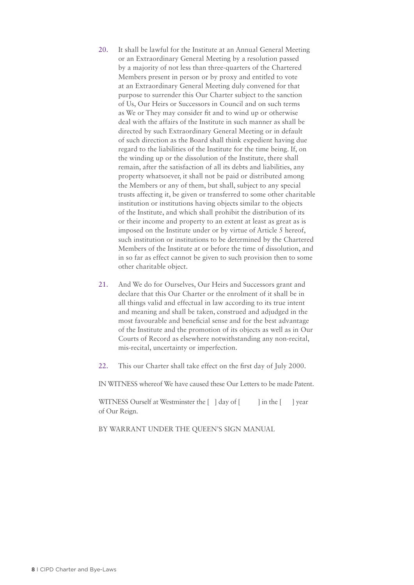- 20. It shall be lawful for the Institute at an Annual General Meeting or an Extraordinary General Meeting by a resolution passed by a majority of not less than three-quarters of the Chartered Members present in person or by proxy and entitled to vote at an Extraordinary General Meeting duly convened for that purpose to surrender this Our Charter subject to the sanction of Us, Our Heirs or Successors in Council and on such terms as We or They may consider fit and to wind up or otherwise deal with the affairs of the Institute in such manner as shall be directed by such Extraordinary General Meeting or in default of such direction as the Board shall think expedient having due regard to the liabilities of the Institute for the time being. If, on the winding up or the dissolution of the Institute, there shall remain, after the satisfaction of all its debts and liabilities, any property whatsoever, it shall not be paid or distributed among the Members or any of them, but shall, subject to any special trusts affecting it, be given or transferred to some other charitable institution or institutions having objects similar to the objects of the Institute, and which shall prohibit the distribution of its or their income and property to an extent at least as great as is imposed on the Institute under or by virtue of Article 5 hereof, such institution or institutions to be determined by the Chartered Members of the Institute at or before the time of dissolution, and in so far as effect cannot be given to such provision then to some other charitable object.
- 21. And We do for Ourselves, Our Heirs and Successors grant and declare that this Our Charter or the enrolment of it shall be in all things valid and effectual in law according to its true intent and meaning and shall be taken, construed and adjudged in the most favourable and beneficial sense and for the best advantage of the Institute and the promotion of its objects as well as in Our Courts of Record as elsewhere notwithstanding any non-recital, mis-recital, uncertainty or imperfection.
- 22. This our Charter shall take effect on the first day of July 2000.

IN WITNESS whereof We have caused these Our Letters to be made Patent.

WITNESS Ourself at Westminster the  $\lceil \cdot \rceil$  day of  $\lceil \cdot \cdot \rceil$  in the  $\lceil \cdot \cdot \rceil$  year of Our Reign.

BY WARRANT UNDER THE QUEEN'S SIGN MANUAL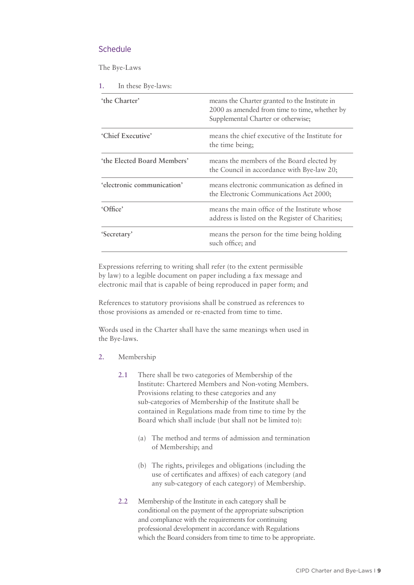# **Schedule**

The Bye-Laws

1. In these Bye-laws:

| 'the Charter'               | means the Charter granted to the Institute in<br>2000 as amended from time to time, whether by<br>Supplemental Charter or otherwise; |
|-----------------------------|--------------------------------------------------------------------------------------------------------------------------------------|
| 'Chief Executive'           | means the chief executive of the Institute for<br>the time being;                                                                    |
| 'the Elected Board Members' | means the members of the Board elected by<br>the Council in accordance with Bye-law 20;                                              |
| 'electronic communication'  | means electronic communication as defined in<br>the Electronic Communications Act 2000;                                              |
| 'Office'                    | means the main office of the Institute whose<br>address is listed on the Register of Charities;                                      |
| 'Secretary'                 | means the person for the time being holding<br>such office; and                                                                      |

Expressions referring to writing shall refer (to the extent permissible by law) to a legible document on paper including a fax message and electronic mail that is capable of being reproduced in paper form; and

References to statutory provisions shall be construed as references to those provisions as amended or re-enacted from time to time.

Words used in the Charter shall have the same meanings when used in the Bye-laws.

- 2. Membership
	- 2.1 There shall be two categories of Membership of the Institute: Chartered Members and Non-voting Members. Provisions relating to these categories and any sub-categories of Membership of the Institute shall be contained in Regulations made from time to time by the Board which shall include (but shall not be limited to):
		- (a) The method and terms of admission and termination of Membership; and
		- (b) The rights, privileges and obligations (including the use of certificates and affixes) of each category (and any sub-category of each category) of Membership.
	- 2.2 Membership of the Institute in each category shall be conditional on the payment of the appropriate subscription and compliance with the requirements for continuing professional development in accordance with Regulations which the Board considers from time to time to be appropriate.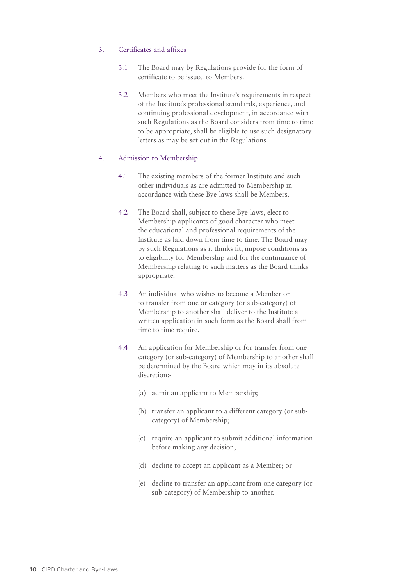# 3. Certificates and affixes

- 3.1 The Board may by Regulations provide for the form of certificate to be issued to Members.
- 3.2 Members who meet the Institute's requirements in respect of the Institute's professional standards, experience, and continuing professional development, in accordance with such Regulations as the Board considers from time to time to be appropriate, shall be eligible to use such designatory letters as may be set out in the Regulations.

#### 4. Admission to Membership

- 4.1 The existing members of the former Institute and such other individuals as are admitted to Membership in accordance with these Bye-laws shall be Members.
- 4.2 The Board shall, subject to these Bye-laws, elect to Membership applicants of good character who meet the educational and professional requirements of the Institute as laid down from time to time. The Board may by such Regulations as it thinks fit, impose conditions as to eligibility for Membership and for the continuance of Membership relating to such matters as the Board thinks appropriate.
- 4.3 An individual who wishes to become a Member or to transfer from one or category (or sub-category) of Membership to another shall deliver to the Institute a written application in such form as the Board shall from time to time require.
- 4.4 An application for Membership or for transfer from one category (or sub-category) of Membership to another shall be determined by the Board which may in its absolute discretion:-
	- (a) admit an applicant to Membership;
	- (b) transfer an applicant to a different category (or subcategory) of Membership;
	- (c) require an applicant to submit additional information before making any decision;
	- (d) decline to accept an applicant as a Member; or
	- (e) decline to transfer an applicant from one category (or sub-category) of Membership to another.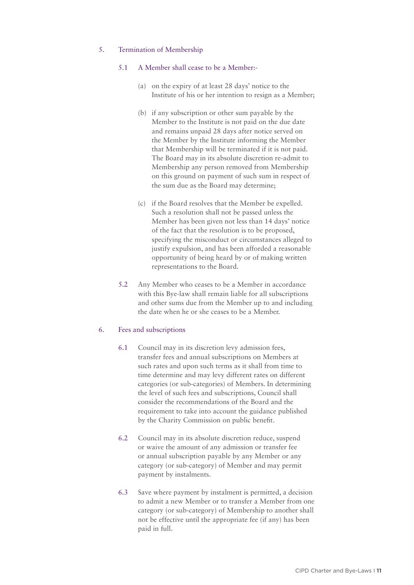# 5. Termination of Membership

#### 5.1 A Member shall cease to be a Member:-

- (a) on the expiry of at least 28 days' notice to the Institute of his or her intention to resign as a Member;
- (b) if any subscription or other sum payable by the Member to the Institute is not paid on the due date and remains unpaid 28 days after notice served on the Member by the Institute informing the Member that Membership will be terminated if it is not paid. The Board may in its absolute discretion re-admit to Membership any person removed from Membership on this ground on payment of such sum in respect of the sum due as the Board may determine;
- (c) if the Board resolves that the Member be expelled. Such a resolution shall not be passed unless the Member has been given not less than 14 days' notice of the fact that the resolution is to be proposed, specifying the misconduct or circumstances alleged to justify expulsion, and has been afforded a reasonable opportunity of being heard by or of making written representations to the Board.
- 5.2 Any Member who ceases to be a Member in accordance with this Bye-law shall remain liable for all subscriptions and other sums due from the Member up to and including the date when he or she ceases to be a Member.

#### 6. Fees and subscriptions

- 6.1 Council may in its discretion levy admission fees, transfer fees and annual subscriptions on Members at such rates and upon such terms as it shall from time to time determine and may levy different rates on different categories (or sub-categories) of Members. In determining the level of such fees and subscriptions, Council shall consider the recommendations of the Board and the requirement to take into account the guidance published by the Charity Commission on public benefit.
- 6.2 Council may in its absolute discretion reduce, suspend or waive the amount of any admission or transfer fee or annual subscription payable by any Member or any category (or sub-category) of Member and may permit payment by instalments.
- 6.3 Save where payment by instalment is permitted, a decision to admit a new Member or to transfer a Member from one category (or sub-category) of Membership to another shall not be effective until the appropriate fee (if any) has been paid in full.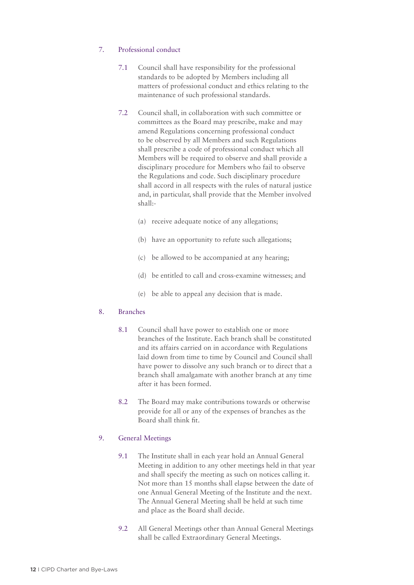# 7. Professional conduct

- 7.1 Council shall have responsibility for the professional standards to be adopted by Members including all matters of professional conduct and ethics relating to the maintenance of such professional standards.
- 7.2 Council shall, in collaboration with such committee or committees as the Board may prescribe, make and may amend Regulations concerning professional conduct to be observed by all Members and such Regulations shall prescribe a code of professional conduct which all Members will be required to observe and shall provide a disciplinary procedure for Members who fail to observe the Regulations and code. Such disciplinary procedure shall accord in all respects with the rules of natural justice and, in particular, shall provide that the Member involved shall:-
	- (a) receive adequate notice of any allegations;
	- (b) have an opportunity to refute such allegations;
	- (c) be allowed to be accompanied at any hearing;
	- (d) be entitled to call and cross-examine witnesses; and
	- (e) be able to appeal any decision that is made.

#### 8. Branches

- 8.1 Council shall have power to establish one or more branches of the Institute. Each branch shall be constituted and its affairs carried on in accordance with Regulations laid down from time to time by Council and Council shall have power to dissolve any such branch or to direct that a branch shall amalgamate with another branch at any time after it has been formed.
- 8.2 The Board may make contributions towards or otherwise provide for all or any of the expenses of branches as the Board shall think fit.

# 9. General Meetings

- 9.1 The Institute shall in each year hold an Annual General Meeting in addition to any other meetings held in that year and shall specify the meeting as such on notices calling it. Not more than 15 months shall elapse between the date of one Annual General Meeting of the Institute and the next. The Annual General Meeting shall be held at such time and place as the Board shall decide.
- 9.2 All General Meetings other than Annual General Meetings shall be called Extraordinary General Meetings.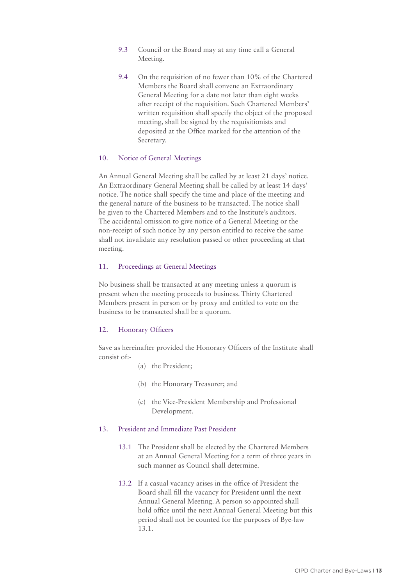- 9.3 Council or the Board may at any time call a General Meeting.
- 9.4 On the requisition of no fewer than 10% of the Chartered Members the Board shall convene an Extraordinary General Meeting for a date not later than eight weeks after receipt of the requisition. Such Chartered Members' written requisition shall specify the object of the proposed meeting, shall be signed by the requisitionists and deposited at the Office marked for the attention of the Secretary.

#### 10. Notice of General Meetings

An Annual General Meeting shall be called by at least 21 days' notice. An Extraordinary General Meeting shall be called by at least 14 days' notice. The notice shall specify the time and place of the meeting and the general nature of the business to be transacted. The notice shall be given to the Chartered Members and to the Institute's auditors. The accidental omission to give notice of a General Meeting or the non-receipt of such notice by any person entitled to receive the same shall not invalidate any resolution passed or other proceeding at that meeting.

#### 11. Proceedings at General Meetings

No business shall be transacted at any meeting unless a quorum is present when the meeting proceeds to business. Thirty Chartered Members present in person or by proxy and entitled to vote on the business to be transacted shall be a quorum.

#### 12. Honorary Officers

Save as hereinafter provided the Honorary Officers of the Institute shall consist of:-

- (a) the President;
- (b) the Honorary Treasurer; and
- (c) the Vice-President Membership and Professional Development.

#### 13. President and Immediate Past President

- 13.1 The President shall be elected by the Chartered Members at an Annual General Meeting for a term of three years in such manner as Council shall determine.
- 13.2 If a casual vacancy arises in the office of President the Board shall fill the vacancy for President until the next Annual General Meeting. A person so appointed shall hold office until the next Annual General Meeting but this period shall not be counted for the purposes of Bye-law 13.1.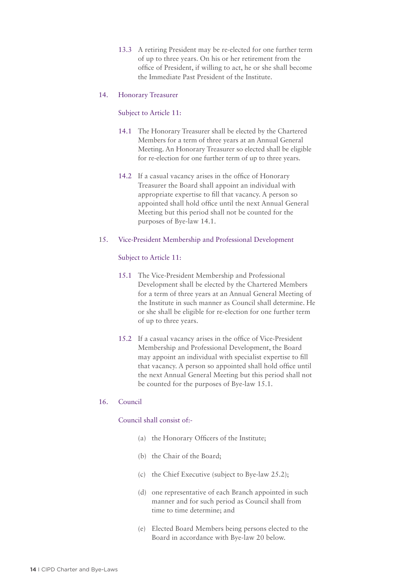13.3 A retiring President may be re-elected for one further term of up to three years. On his or her retirement from the office of President, if willing to act, he or she shall become the Immediate Past President of the Institute.

#### 14. Honorary Treasurer

#### Subject to Article 11:

- 14.1 The Honorary Treasurer shall be elected by the Chartered Members for a term of three years at an Annual General Meeting. An Honorary Treasurer so elected shall be eligible for re-election for one further term of up to three years.
- 14.2 If a casual vacancy arises in the office of Honorary Treasurer the Board shall appoint an individual with appropriate expertise to fill that vacancy. A person so appointed shall hold office until the next Annual General Meeting but this period shall not be counted for the purposes of Bye-law 14.1.

#### 15. Vice-President Membership and Professional Development

#### Subject to Article 11:

- 15.1 The Vice-President Membership and Professional Development shall be elected by the Chartered Members for a term of three years at an Annual General Meeting of the Institute in such manner as Council shall determine. He or she shall be eligible for re-election for one further term of up to three years.
- 15.2 If a casual vacancy arises in the office of Vice-President Membership and Professional Development, the Board may appoint an individual with specialist expertise to fill that vacancy. A person so appointed shall hold office until the next Annual General Meeting but this period shall not be counted for the purposes of Bye-law 15.1.

#### 16. Council

#### Council shall consist of:-

- (a) the Honorary Officers of the Institute;
- (b) the Chair of the Board;
- (c) the Chief Executive (subject to Bye-law 25.2);
- (d) one representative of each Branch appointed in such manner and for such period as Council shall from time to time determine; and
- (e) Elected Board Members being persons elected to the Board in accordance with Bye-law 20 below.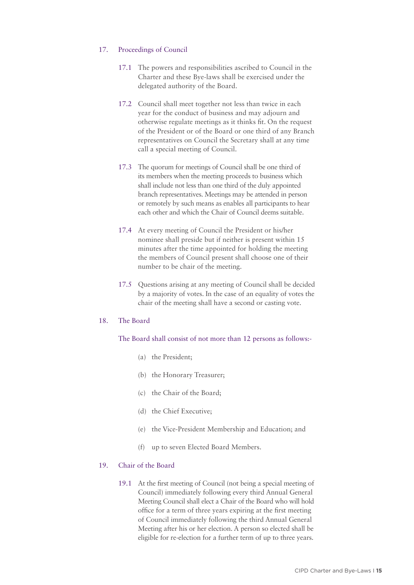#### 17. Proceedings of Council

- 17.1 The powers and responsibilities ascribed to Council in the Charter and these Bye-laws shall be exercised under the delegated authority of the Board.
- 17.2 Council shall meet together not less than twice in each year for the conduct of business and may adjourn and otherwise regulate meetings as it thinks fit. On the request of the President or of the Board or one third of any Branch representatives on Council the Secretary shall at any time call a special meeting of Council.
- 17.3 The quorum for meetings of Council shall be one third of its members when the meeting proceeds to business which shall include not less than one third of the duly appointed branch representatives. Meetings may be attended in person or remotely by such means as enables all participants to hear each other and which the Chair of Council deems suitable.
- 17.4 At every meeting of Council the President or his/her nominee shall preside but if neither is present within 15 minutes after the time appointed for holding the meeting the members of Council present shall choose one of their number to be chair of the meeting.
- 17.5 Questions arising at any meeting of Council shall be decided by a majority of votes. In the case of an equality of votes the chair of the meeting shall have a second or casting vote.

#### 18. The Board

#### The Board shall consist of not more than 12 persons as follows:-

- (a) the President;
- (b) the Honorary Treasurer;
- (c) the Chair of the Board;
- (d) the Chief Executive;
- (e) the Vice-President Membership and Education; and
- (f) up to seven Elected Board Members.

#### 19. Chair of the Board

19.1 At the first meeting of Council (not being a special meeting of Council) immediately following every third Annual General Meeting Council shall elect a Chair of the Board who will hold office for a term of three years expiring at the first meeting of Council immediately following the third Annual General Meeting after his or her election. A person so elected shall be eligible for re-election for a further term of up to three years.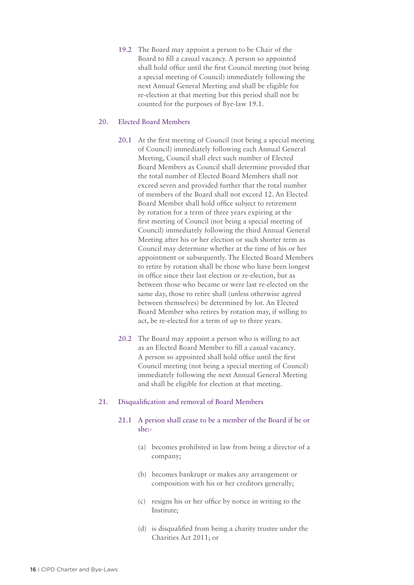19.2 The Board may appoint a person to be Chair of the Board to fill a casual vacancy. A person so appointed shall hold office until the first Council meeting (not being a special meeting of Council) immediately following the next Annual General Meeting and shall be eligible for re-election at that meeting but this period shall not be counted for the purposes of Bye-law 19.1.

#### 20. Elected Board Members

- 20.1 At the first meeting of Council (not being a special meeting of Council) immediately following each Annual General Meeting, Council shall elect such number of Elected Board Members as Council shall determine provided that the total number of Elected Board Members shall not exceed seven and provided further that the total number of members of the Board shall not exceed 12. An Elected Board Member shall hold office subject to retirement by rotation for a term of three years expiring at the first meeting of Council (not being a special meeting of Council) immediately following the third Annual General Meeting after his or her election or such shorter term as Council may determine whether at the time of his or her appointment or subsequently. The Elected Board Members to retire by rotation shall be those who have been longest in office since their last election or re-election, but as between those who became or were last re-elected on the same day, those to retire shall (unless otherwise agreed between themselves) be determined by lot. An Elected Board Member who retires by rotation may, if willing to act, be re-elected for a term of up to three years.
- 20.2 The Board may appoint a person who is willing to act as an Elected Board Member to fill a casual vacancy. A person so appointed shall hold office until the first Council meeting (not being a special meeting of Council) immediately following the next Annual General Meeting and shall be eligible for election at that meeting.

## 21. Disqualification and removal of Board Members

## 21.1 A person shall cease to be a member of the Board if he or she:-

- (a) becomes prohibited in law from being a director of a company;
- (b) becomes bankrupt or makes any arrangement or composition with his or her creditors generally;
- (c) resigns his or her office by notice in writing to the Institute;
- (d) is disqualified from being a charity trustee under the Charities Act 2011; or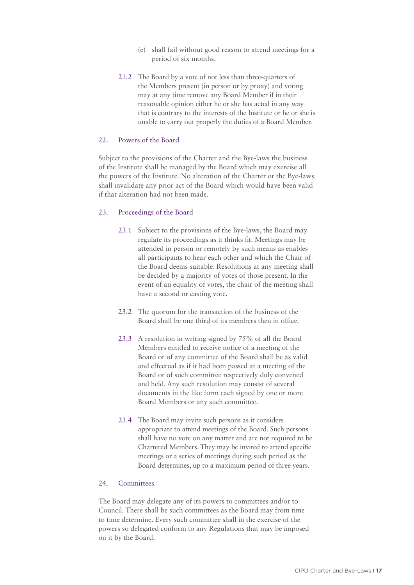- (e) shall fail without good reason to attend meetings for a period of six months.
- 21.2 The Board by a vote of not less than three-quarters of the Members present (in person or by proxy) and voting may at any time remove any Board Member if in their reasonable opinion either he or she has acted in any way that is contrary to the interests of the Institute or he or she is unable to carry out properly the duties of a Board Member.

#### 22. Powers of the Board

Subject to the provisions of the Charter and the Bye-laws the business of the Institute shall be managed by the Board which may exercise all the powers of the Institute. No alteration of the Charter or the Bye-laws shall invalidate any prior act of the Board which would have been valid if that alteration had not been made.

#### 23. Proceedings of the Board

- 23.1 Subject to the provisions of the Bye-laws, the Board may regulate its proceedings as it thinks fit. Meetings may be attended in person or remotely by such means as enables all participants to hear each other and which the Chair of the Board deems suitable. Resolutions at any meeting shall be decided by a majority of votes of those present. In the event of an equality of votes, the chair of the meeting shall have a second or casting vote.
- 23.2 The quorum for the transaction of the business of the Board shall be one third of its members then in office.
- 23.3 A resolution in writing signed by 75% of all the Board Members entitled to receive notice of a meeting of the Board or of any committee of the Board shall be as valid and effectual as if it had been passed at a meeting of the Board or of such committee respectively duly convened and held. Any such resolution may consist of several documents in the like form each signed by one or more Board Members or any such committee.
- 23.4 The Board may invite such persons as it considers appropriate to attend meetings of the Board. Such persons shall have no vote on any matter and are not required to be Chartered Members. They may be invited to attend specific meetings or a series of meetings during such period as the Board determines, up to a maximum period of three years.

#### 24. Committees

The Board may delegate any of its powers to committees and/or to Council. There shall be such committees as the Board may from time to time determine. Every such committee shall in the exercise of the powers so delegated conform to any Regulations that may be imposed on it by the Board.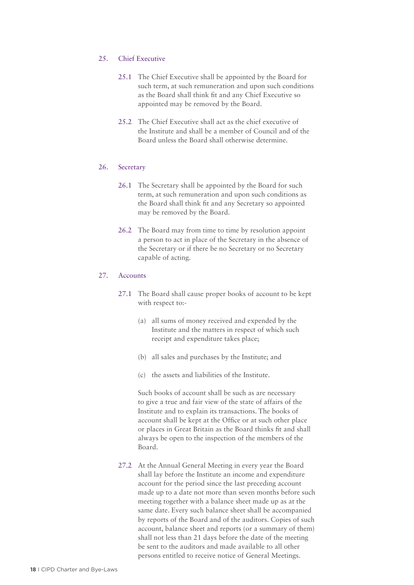#### 25. Chief Executive

- 25.1 The Chief Executive shall be appointed by the Board for such term, at such remuneration and upon such conditions as the Board shall think fit and any Chief Executive so appointed may be removed by the Board.
- 25.2 The Chief Executive shall act as the chief executive of the Institute and shall be a member of Council and of the Board unless the Board shall otherwise determine.

#### 26. Secretary

- 26.1 The Secretary shall be appointed by the Board for such term, at such remuneration and upon such conditions as the Board shall think fit and any Secretary so appointed may be removed by the Board.
- 26.2 The Board may from time to time by resolution appoint a person to act in place of the Secretary in the absence of the Secretary or if there be no Secretary or no Secretary capable of acting.

#### 27. Accounts

- 27.1 The Board shall cause proper books of account to be kept with respect to:-
	- (a) all sums of money received and expended by the Institute and the matters in respect of which such receipt and expenditure takes place;
	- (b) all sales and purchases by the Institute; and
	- (c) the assets and liabilities of the Institute.

Such books of account shall be such as are necessary to give a true and fair view of the state of affairs of the Institute and to explain its transactions. The books of account shall be kept at the Office or at such other place or places in Great Britain as the Board thinks fit and shall always be open to the inspection of the members of the Board.

27.2 At the Annual General Meeting in every year the Board shall lay before the Institute an income and expenditure account for the period since the last preceding account made up to a date not more than seven months before such meeting together with a balance sheet made up as at the same date. Every such balance sheet shall be accompanied by reports of the Board and of the auditors. Copies of such account, balance sheet and reports (or a summary of them) shall not less than 21 days before the date of the meeting be sent to the auditors and made available to all other persons entitled to receive notice of General Meetings.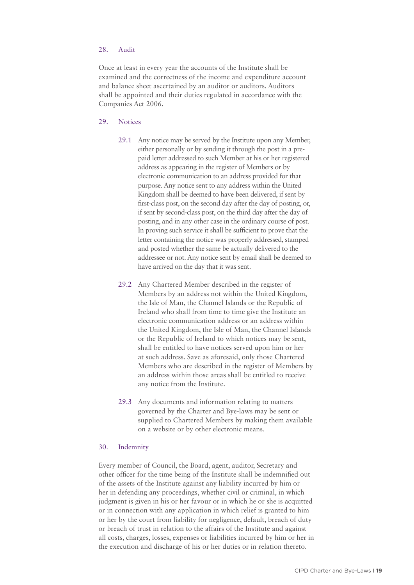# 28. Audit

Once at least in every year the accounts of the Institute shall be examined and the correctness of the income and expenditure account and balance sheet ascertained by an auditor or auditors. Auditors shall be appointed and their duties regulated in accordance with the Companies Act 2006.

#### 29. Notices

- 29.1 Any notice may be served by the Institute upon any Member, either personally or by sending it through the post in a prepaid letter addressed to such Member at his or her registered address as appearing in the register of Members or by electronic communication to an address provided for that purpose. Any notice sent to any address within the United Kingdom shall be deemed to have been delivered, if sent by first-class post, on the second day after the day of posting, or, if sent by second-class post, on the third day after the day of posting, and in any other case in the ordinary course of post. In proving such service it shall be sufficient to prove that the letter containing the notice was properly addressed, stamped and posted whether the same be actually delivered to the addressee or not. Any notice sent by email shall be deemed to have arrived on the day that it was sent.
- 29.2 Any Chartered Member described in the register of Members by an address not within the United Kingdom, the Isle of Man, the Channel Islands or the Republic of Ireland who shall from time to time give the Institute an electronic communication address or an address within the United Kingdom, the Isle of Man, the Channel Islands or the Republic of Ireland to which notices may be sent, shall be entitled to have notices served upon him or her at such address. Save as aforesaid, only those Chartered Members who are described in the register of Members by an address within those areas shall be entitled to receive any notice from the Institute.
- 29.3 Any documents and information relating to matters governed by the Charter and Bye-laws may be sent or supplied to Chartered Members by making them available on a website or by other electronic means.

#### 30. Indemnity

Every member of Council, the Board, agent, auditor, Secretary and other officer for the time being of the Institute shall be indemnified out of the assets of the Institute against any liability incurred by him or her in defending any proceedings, whether civil or criminal, in which judgment is given in his or her favour or in which he or she is acquitted or in connection with any application in which relief is granted to him or her by the court from liability for negligence, default, breach of duty or breach of trust in relation to the affairs of the Institute and against all costs, charges, losses, expenses or liabilities incurred by him or her in the execution and discharge of his or her duties or in relation thereto.